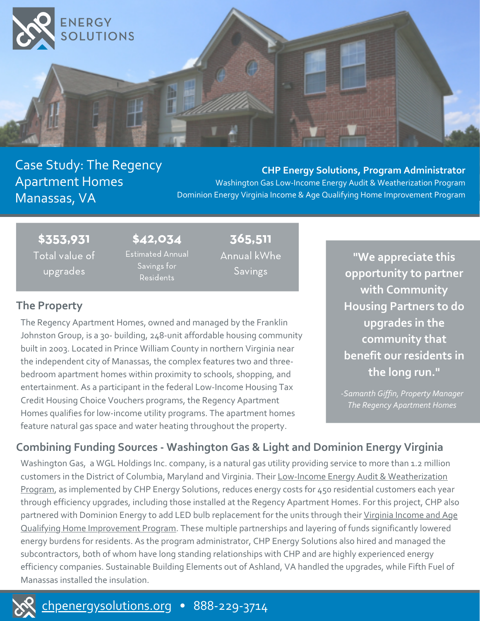

# Case Study: The Regency Apartment Homes Manassas, VA

**CHP Energy Solutions, Program Administrator** Washington Gas Low-Income Energy Audit & Weatherization Program Dominion Energy Virginia Income & Age Qualifying Home Improvement Program

\$353,931 Total value of upgrades

\$42,034 Estimated Annual Savings for Residents

365,511 Annual kWhe Savings

## **The Property**

The Regency Apartment Homes, owned and managed by the Franklin Johnston Group, is a 30- building, 248-unit affordable housing community built in 2003. Located in Prince William County in northern Virginia near the independent city of Manassas, the complex features two and threebedroom apartment homes within proximity to schools, shopping, and entertainment. As a participant in the federal Low-Income Housing Tax Credit Housing Choice Vouchers programs, the Regency Apartment Homes qualifies for low-income utility programs. The apartment homes feature natural gas space and water heating throughout the property.

**"We appreciate this opportunity to partner with Community Housing Partners to do upgrades in the community that benefit our residents in the long run."**

*-Samanth Giffin, Property Manager The Regency Apartment Homes*

# **Combining Funding Sources - Washington Gas & Light and Dominion Energy Virginia**

Washington Gas, a WGL Holdings Inc. company, is a natural gas utility providing service to more than 1.2 million customers in the District of Columbia, Maryland and Virginia. Their Low-Income Energy Audit & [Weatherization](https://www.washingtongas.com/campaign/va-weatherization) Program, as implemented by CHP Energy Solutions, reduces energy costs for 450 residential customers each year through efficiency upgrades, including those installed at the Regency Apartment Homes. For this project, CHP also partnered with Dominion Energy to add LED bulb replacement for the units through their Virginia Income and Age Qualifying Home [Improvement](https://www.dominionenergy.com/virginia/save-energy/income-and-age-qualifying-home-improvements) Program. These multiple partnerships and layering of funds significantly lowered energy burdens for residents. As the program administrator, CHP Energy Solutions also hired and managed the subcontractors, both of whom have long standing relationships with CHP and are highly experienced energy efficiency companies. Sustainable Building Elements out of Ashland, VA handled the upgrades, while Fifth Fuel of Manassas installed the insulation.